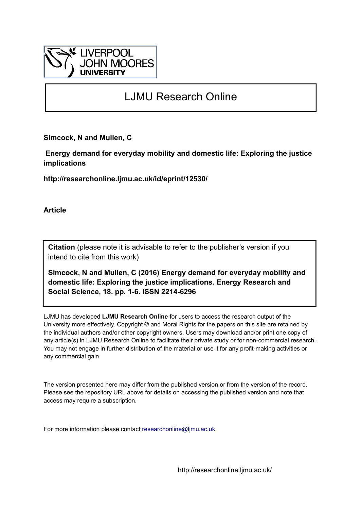

# LJMU Research Online

**Simcock, N and Mullen, C**

 **Energy demand for everyday mobility and domestic life: Exploring the justice implications**

**http://researchonline.ljmu.ac.uk/id/eprint/12530/**

**Article**

**Citation** (please note it is advisable to refer to the publisher's version if you intend to cite from this work)

**Simcock, N and Mullen, C (2016) Energy demand for everyday mobility and domestic life: Exploring the justice implications. Energy Research and Social Science, 18. pp. 1-6. ISSN 2214-6296** 

LJMU has developed **[LJMU Research Online](http://researchonline.ljmu.ac.uk/)** for users to access the research output of the University more effectively. Copyright © and Moral Rights for the papers on this site are retained by the individual authors and/or other copyright owners. Users may download and/or print one copy of any article(s) in LJMU Research Online to facilitate their private study or for non-commercial research. You may not engage in further distribution of the material or use it for any profit-making activities or any commercial gain.

The version presented here may differ from the published version or from the version of the record. Please see the repository URL above for details on accessing the published version and note that access may require a subscription.

For more information please contact [researchonline@ljmu.ac.uk](mailto:researchonline@ljmu.ac.uk)

http://researchonline.ljmu.ac.uk/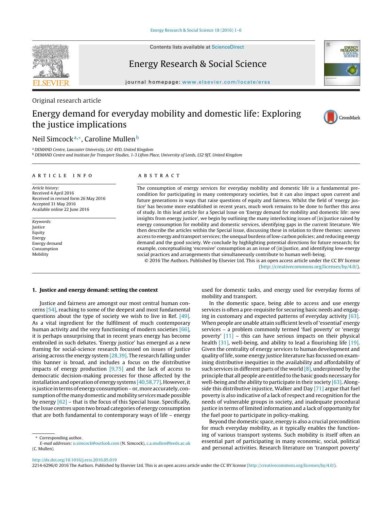

Contents lists available at [ScienceDirect](http://www.sciencedirect.com/science/journal/00000000)

Energy Research & Social Science



### Original research article

# Energy demand for everyday mobility and domestic life: Exploring the justice implications



CrossMark

## Neil Simcock<sup>a,∗</sup>, Caroline Mullen<sup>b</sup>

<sup>a</sup> DEMAND Centre, Lancaster University, LA1 4YD, United Kingdom

<sup>b</sup> DEMAND Centre and Institute for Transport Studies, 1-3 Lifton Place, University of Leeds, LS2 9JT, United Kingdom

#### a r t i c l e i n f o

Article history: Received 4 April 2016 Received in revised form 26 May 2016 Accepted 31 May 2016 Available online 22 June 2016

Keywords: Justice Equity Energy Energy demand Consumption Mobility

#### a b s t r a c t

The consumption of energy services for everyday mobility and domestic life is a fundamental precondition for participating in many contemporary societies, but it can also impact upon current and future generations in ways that raise questions of equity and fairness. Whilst the field of 'energy justice' has become more established in recent years, much work remains to be done to further this area of study. In this lead article for a Special Issue on 'Energy demand for mobility and domestic life: new insights from energy justice', we begin by outlining the many interlocking issues of (in)justice raised by energy consumption for mobility and domestic services, identifying gaps in the current literature. We then describe the articles within the Special Issue, discussing these in relation to three themes: uneven access to energy and transport services; the unequal burdens of low-carbon policies; and reducing energy demand and the good society. We conclude by highlighting potential directions for future research; for example, conceptualising 'excessive' consumption as an issue of (in)justice, and identifying low-energy social practices and arrangements that simultaneously contribute to human well-being.

© 2016 The Authors. Published by Elsevier Ltd. This is an open access article under the CC BY license [\(http://creativecommons.org/licenses/by/4.0/](http://creativecommons.org/licenses/by/4.0/)).

#### **1. Justice and energy demand: setting the context**

Justice and fairness are amongst our most central human concerns [\[54\],](#page-6-0) reaching to some of the deepest and most fundamental questions about the type of society we wish to live in Ref. [\[49\].](#page-6-0) As a vital ingredient for the fulfilment of much contemporary human activity and the very functioning of modern societies [\[66\],](#page-6-0) it is perhaps unsurprising that in recent years energy has become embroiled in such debates. 'Energy justice' has emerged as a new framing for social-science research focussed on issues of justice arising across the energy system [\[28,39\].](#page-6-0) The research falling under this banner is broad, and includes a focus on the distributive impacts of energy production  $[9,75]$  and the lack of access to democratic decision-making processes for those affected by the installation and operation of energy systems  $[40,58,77]$ . However, it is justice interms of energy consumption–or,more accurately, consumption of the many domestic and mobility services made possible by energy [\[62\]](#page-6-0) – that is the focus of this Special Issue. Specifically, the Issue centres upon two broad categories of energy consumption that are both fundamental to contemporary ways of life – energy

used for domestic tasks, and energy used for everyday forms of mobility and transport.

In the domestic space, being able to access and use energy services is often a pre-requisite for securing basic needs and engaging in customary and expected patterns of everyday activity [\[63\].](#page-6-0) When people are unable attain sufficient levels of 'essential' energy services – a problem commonly termed 'fuel poverty' or 'energy poverty' [\[11\]](#page-5-0) – this can have serious impacts on their physical health [\[31\],](#page-6-0) well-being, and ability to lead a flourishing life [\[19\].](#page-6-0) Given the centrality of energy services to human development and quality of life, some energy justice literature has focussed on examining distributive inequities in the availability and affordability of such services in different parts of the world  $[8]$ , underpinned by the principle that all people are entitled to the basic goods necessary for well-being and the ability to participate in their society [\[63\].](#page-6-0) Alongside this distributive injustice, Walker and Day [\[71\]](#page-6-0) argue that fuel poverty is also indicative of a lack of respect and recognition for the needs of vulnerable groups in society, and inadequate procedural justice in terms of limited information and a lack of opportunity for the fuel poor to participate in policy-making.

Beyond the domestic space, energy is also a crucial precondition for much everyday mobility, as it typically enables the functioning of various transport systems. Such mobility is itself often an essential part of participating in many economic, social, political and personal activities. Research literature on 'transport poverty'

[http://dx.doi.org/10.1016/j.erss.2016.05.019](dx.doi.org/10.1016/j.erss.2016.05.019)

2214-6296/© 2016 The Authors. Published by Elsevier Ltd. This is an open access article under the CC BY license ([http://creativecommons.org/licenses/by/4.0/\)](http://creativecommons.org/licenses/by/4.0/).

Corresponding author.

E-mail addresses: [n.simcock@outlook.com](mailto:n.simcock@outlook.com) (N. Simcock), [c.a.mullen@leeds.ac.uk](mailto:c.a.mullen@leeds.ac.uk) (C. Mullen).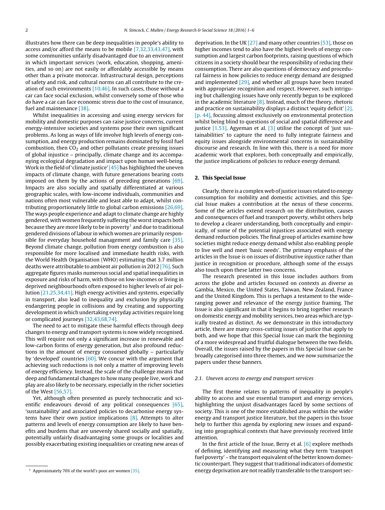illustrates how there can be deep inequalities in people's ability to access and/or afford the means to be mobile [\[7,32,33,43,47\],](#page-5-0) with some communities unfairly disadvantaged due to an environment in which important services (work, education, shopping, amenities, and so on) are not easily or affordably accessible by means other than a private motorcar. Infrastructural design, perceptions of safety and risk, and cultural norms can all contribute to the creation of such environments  $[10,46]$ . In such cases, those without a car can face social exclusion, whilst conversely some of those who do have a car can face economic stress due to the cost of insurance, fuel and maintenance [\[38\].](#page-6-0)

Whilst inequalities in accessing and using energy services for mobility and domestic purposes can raise justice concerns, current energy-intensive societies and systems pose their own significant problems. As long as ways of life involve high levels of energy consumption, and energy production remains dominated by fossil fuel combustion, then  $CO<sub>2</sub>$  and other pollutants create pressing issues of global injustice – principally, climate change and its accompanying ecological degradation and impact upon human well-being. Work in the field of 'climate justice'  $[45]$  has highlighted the uneven impacts of climate change, with future generations bearing costs imposed on them by the actions of preceding generations [\[69\].](#page-6-0) Impacts are also socially and spatially differentiated at various geographic scales, with low-income individuals, communities and nations often most vulnerable and least able to adapt, whilst contributing proportionately little to global carbon emissions [\[26,69\].](#page-6-0) The ways people experience and adapt to climate change are highly gendered, with women frequently suffering the worstimpacts both because they are more likely to be in poverty<sup>1</sup> and due to traditional gendered divisions oflabour in which women are primarily responsible for everyday household management and family care [\[35\].](#page-6-0) Beyond climate change, pollution from energy combustion is also responsible for more localised and immediate health risks, with the World Health Organisation (WHO) estimating that 3.7 million deaths were attributable to ambient air pollution in 2012 [\[76\].](#page-6-0) Such aggregate figures masks numerous social and spatial inequalities in exposure and risks of harm, with those on low-incomes or living in deprived neighbourhoods often exposed to higher levels of air pollution [\[21,25,34,41\].](#page-6-0) High energy activities and systems, especially in transport, also lead to inequality and exclusion by physically endangering people in collisions and by creating and supporting development in which undertaking everyday activities require long or complicated journeys [\[32,43,68,74\].](#page-6-0)

The need to act to mitigate these harmful effects through deep changes to energy and transport systems is now widely recognised. This will require not only a significant increase in renewable and low-carbon forms of energy generation, but also profound reductions in the amount of energy consumed globally – particularly by 'developed' countries [\[60\].](#page-6-0) We concur with the argument that achieving such reductions is not only a matter of improving levels of energy efficiency. Instead, the scale of the challenge means that deep and fundamental changes to how many people live, work and play are also likely to be necessary, especially in the richer societies of the West [\[56,57\].](#page-6-0)

Yet, although often presented as purely technocratic and sci-entific endeavours devoid of any political consequences [\[65\],](#page-6-0) 'sustainability' and associated policies to decarbonise energy systems have their own justice implications [\[8\].](#page-5-0) Attempts to alter patterns and levels of energy consumption are likely to have benefits and burdens that are unevenly shared socially and spatially, potentially unfairly disadvantaging some groups or localities and possibly exacerbating existing inequalities or creating new areas of deprivation. In the UK  $[27]$  and many other countries  $[53]$ , those on higher incomes tend to also have the highest levels of energy consumption and largest carbon footprints, raising questions of which citizens in a society should bear the responsibility of reducing their consumption. There are also questions of democracy and procedural fairness in how policies to reduce energy demand are designed and implemented [\[29\],](#page-6-0) and whether all groups have been treated with appropriate recognition and respect. However, such intriguing but challenging issues have only recently begun to be explored in the academic literature  $[8]$ . Instead, much of the theory, rhetoric and practice on sustainability displays a distinct 'equity deficit'  $[2]$ , [\[p.](#page-5-0) [44\],](#page-5-0) focussing almost exclusively on environmental protection whilst being blind to questions of social and spatial difference and justice  $[1,53]$ . Agyeman et al.  $[3]$  utilise the concept of 'just sustainabilities' to capture the need to fully integrate fairness and equity issues alongside environmental concerns in sustainability discourse and research. In line with this, there is a need for more academic work that explores, both conceptually and empirically, the justice implications of policies to reduce energy demand.

#### **2. This Special Issue**

Clearly, there is a complex web of justice issues related to energy consumption for mobility and domestic activities, and this Special Issue makes a contribution at the nexus of these concerns. Some of the articles extend research on the distribution, causes and consequences of fuel and transport poverty, whilst others help to develop a clearer understanding, both conceptually and empirically, of some of the potential injustices associated with energy demand reduction policies. The final group of articles examine how societies might reduce energy demand whilst also enabling people to live well and meet 'basic needs'. The primary emphasis of the articles in the Issue is on issues of distributive injustice rather than justice in recognition or procedure, although some of the essays also touch upon these latter two concerns.

The research presented in this Issue includes authors from across the globe and articles focussed on contexts as diverse as Gambia, Mexico, the United States, Taiwan, New Zealand, France and the United Kingdom. This is perhaps a testament to the wideranging power and relevance of the energy justice framing. The Issue is also significant in that it begins to bring together research on domestic energy and mobility services, two areas which are typically treated as distinct. As we demonstrate in this introductory article, there are many cross-cutting issues of justice that apply to both, and we hope that this Special Issue can mark the beginning of a more widespread and fruitful dialogue between the two fields. Overall, the issues raised by the papers in this Special Issue can be broadly categorised into three themes, and we now summarize the papers under these banners.

#### 2.1. Uneven access to energy and transport services

The first theme relates to patterns of inequality in people's ability to access and use essential transport and energy services, highlighting the unjust disadvantages faced by some sections of society. This is one of the more established areas within the wider energy and transport justice literature, but the papers in this Issue help to further this agenda by exploring new issues and expanding into geographical contexts that have previously received little attention.

In the first article of the Issue, Berry et al. [\[6\]](#page-5-0) explore methods of defining, identifying and measuring what they term 'transport fuel poverty' - the transport equivalent of the better known domestic counterpart. They suggest that traditional indicators of domestic energy deprivation are not readily transferable to the transport sec-

 $^{\rm 1}$  Approximately 70% of the world's poor are women [\[35\].](#page-6-0)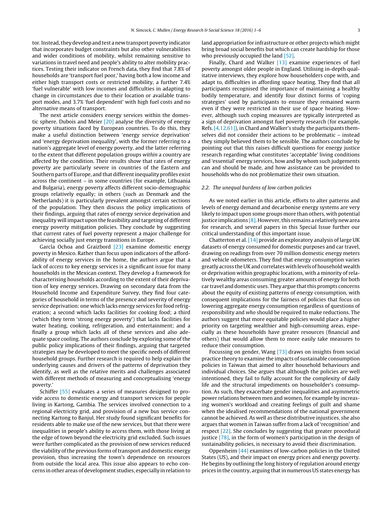tor. Instead, they develop and test a new transport poverty indicator that incorporates budget constraints but also other vulnerabilities and wider conditions of mobility, whilst remaining sensitive to variations in travel need and people's ability to alter mobility practices. Testing their indicator on French data, they find that 7.8% of households are 'transport fuel poor,' having both a low income and either high transport costs or restricted mobility, a further 7.4% 'fuel vulnerable' with low incomes and difficulties in adapting to change in circumstances due to their location or available transport modes, and 3.7% 'fuel dependent' with high fuel costs and no alternative means of transport.

The next article considers energy services within the domestic sphere. Dubois and Meier [\[20\]](#page-6-0) analyse the diversity of energy poverty situations faced by European countries. To do this, they make a useful distinction between 'energy service deprivation' and 'energy deprivation inequality', with the former referring to a nation's aggregate level of energy poverty, and the latter referring to the extent that different population groups within a country are affected by the condition. Their results show that rates of energy poverty are particularly severe in countries of the Eastern and Southern parts of Europe, and that different inequality profiles exist across the continent – in some countries (for example, Lithuania and Bulgaria), energy poverty affects different socio-demographic groups relatively equally; in others (such as Denmark and the Netherlands) it is particularly prevalent amongst certain sections of the population. They then discuss the policy implications of their findings, arguing that rates of energy service deprivation and inequality will impact upon the feasibility and targeting of different energy poverty mitigation policies. They conclude by suggesting that current rates of fuel poverty represent a major challenge for achieving socially just energy transitions in Europe.

García Ochoa and Graizbord [\[23\]](#page-6-0) examine domestic energy poverty in Mexico. Rather than focus upon indicators of the affordability of energy services in the home, the authors argue that a lack of access to key energy services is a significant issue for many households in the Mexican context. They develop a framework for characterising households according to the extent of their deprivation of key energy services. Drawing on secondary data from the Household Income and Expenditure Survey, they find four categories of household in terms of the presence and severity of energy service deprivation: one which lacks energy services for food refrigeration; a second which lacks facilities for cooking food; a third (which they term 'strong energy poverty') that lacks facilities for water heating, cooking, refrigeration, and entertainment; and a finally a group which lacks all of these services and also adequate space cooling. The authors conclude by exploring some ofthe public policy implications of their findings, arguing that targeted strategies may be developed to meet the specific needs of different household groups. Further research is required to help explain the underlying causes and drivers of the patterns of deprivation they identify, as well as the relative merits and challenges associated with different methods of measuring and conceptualising 'energy poverty.'

Schiffer [\[55\]](#page-6-0) evaluates a series of measures designed to provide access to domestic energy and transport services for people living in Kartong, Gambia. The services involved connection to a regional electricity grid, and provision of a new bus service connecting Kartong to Banjul. Her study found significant benefits for residents able to make use of the new services, but that there were inequalities in people's ability to access them, with those living at the edge of town beyond the electricity grid excluded. Such issues were further complicated as the provision of new services reduced the viability of the previous forms of transport and domestic energy provision, thus increasing the town's dependence on resources from outside the local area. This issue also appears to echo concerns in other areas of development studies, especially in relation to

land appropriation for infrastructure or other projects which might bring broad social benefits but which can create hardship for those who previously occupied the land [\[52\].](#page-6-0)

Finally, Chard and Walker  $[13]$  examine experiences of fuel poverty amongst older people in England. Utilising in-depth qualitative interviews, they explore how householders cope with, and adapt to, difficulties in affording space heating. They find that all participants recognised the importance of maintaining a healthy bodily temperature, and identify four distinct forms of 'coping strategies' used by participants to ensure they remained warm even if they were restricted in their use of space heating. However, although such coping measures are typically interpreted as a sign of deprivation amongst fuel poverty research (for example, Refs. [\[4,12,61\]\),](#page-5-0) in Chard and Walker's study the participants themselves did not consider their actions to be problematic – instead they simply believed them to be sensible. The authors conclude by pointing out that this raises difficult questions for energy justice research regarding what constitutes 'acceptable' living conditions and 'essential' energy services, how and by whom such judgements can and should be made, and how assistance can be provided to households who do not problematize their own situation.

#### 2.2. The unequal burdens of low carbon policies

As we noted earlier in this article, efforts to alter patterns and levels of energy demand and decarbonise energy systems are very likely to impact upon some groups more than others, with potential justice implications  $[8]$ . However, this remains a relatively new area for research, and several papers in this Special Issue further our critical understanding of this important issue.

Chatterton et al. [\[14\]](#page-5-0) provide an exploratory analysis of large UK datasets of energy consumed for domestic purposes and car travel, drawing on readings from over 70 million domestic energy meters and vehicle odometers. They find that energy consumption varies greatly across the UKandcorrelates withlevels ofhousehold wealth or deprivation within geographic locations, with a minority of relatively wealthy areas consuming greater amounts of energy for both car travel and domestic uses. They argue that this prompts concerns about the equity of existing patterns of energy consumption, with consequent implications for the fairness of policies that focus on lowering aggregate energy consumption regardless of questions of responsibility and who should be required to make reductions. The authors suggest that more equitable policies would place a higher priority on targeting wealthier and high-consuming areas, especially as these households have greater resources (financial and others) that would allow them to more easily take measures to reduce their consumption.

Focussing on gender, Wang [\[73\]](#page-6-0) draws on insights from social practice theory to examine the impacts of sustainable consumption policies in Taiwan that aimed to alter household behaviours and individual choices. She argues that although the policies are well intentioned, they fail to fully account for the complexity of daily life and the structural impediments on householder's consumption. As such, they exacerbate gender inequalities and asymmetric power relations between men and women, for example by increasing women's workload and creating feelings of guilt and shame when the idealised recommendations of the national government cannot be achieved. As well as these distributive injustices, she also argues that women in Taiwan suffer from a lack of 'recognition' and respect [\[22\].](#page-6-0) She concludes by suggesting that greater procedural justice [\[78\],](#page-6-0) in the form of women's participation in the design of sustainability policies, is necessary to avoid their discrimination.

Oppenheim [\[44\]](#page-6-0) examines of low-carbon policies in the United States (US), and their impact on energy prices and energy poverty. He begins by outlining the long history of regulation around energy prices in the country, arguing thatin numerous US states energy has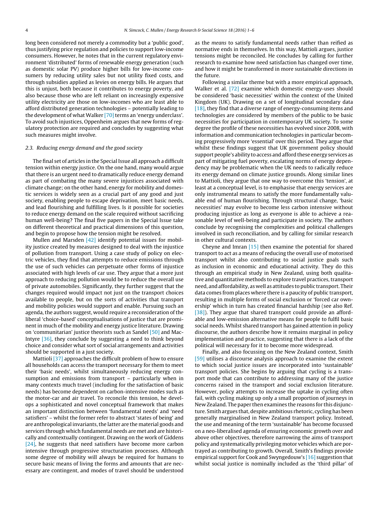long been considered not merely a commodity but a 'public good', thus justifying price regulation and policies to support low-income consumers. However, he notes that in the current regulatory environment 'distributed' forms of renewable energy generation (such as domestic solar PV) produce higher bills for low-income consumers by reducing utility sales but not utility fixed costs, and through subsidies applied as levies on energy bills. He argues that this is unjust, both because it contributes to energy poverty, and also because those who are left reliant on increasingly expensive utility electricity are those on low-incomes who are least able to afford distributed generation technologies – potentially leading to the development of what Walker [\[70\]](#page-6-0) terms an 'energy underclass'. To avoid such injustices, Oppenheim argues that new forms of regulatory protection are required and concludes by suggesting what such measures might involve.

#### 2.3. Reducing energy demand and the good society

The final set of articles in the Special Issue all approach a difficult tension within energy justice. On the one hand, many would argue that there is an urgent need to dramatically reduce energy demand as part of combating the many severe injustices associated with climate change; on the other hand, energy for mobility and domestic services is widely seen as a crucial part of any good and just society, enabling people to escape deprivation, meet basic needs, and lead flourishing and fulfilling lives. Is it possible for societies to reduce energy demand on the scale required without sacrificing human well-being? The final five papers in the Special Issue take on different theoretical and practical dimensions of this question, and begin to propose how the tension might be resolved.

Mullen and Marsden [\[42\]](#page-6-0) identify potential issues for mobility justice created by measures designed to deal with the injustice of pollution from transport. Using a case study of policy on electric vehicles, they find that attempts to reduce emissions through the use of such vehicles can perpetuate other forms of injustice associated with high levels of car use. They argue that a more just approach to reducing pollution would be to reduce the overall use of private automobiles. Significantly, they further suggest that the changes required would impact not just on the transport choices available to people, but on the sorts of activities that transport and mobility policies would support and enable. Pursuing such an agenda, the authors suggest, would require a reconsideration of the liberal 'choice-based' conceptualisations of justice that are prominent in much of the mobility and energy justice literature. Drawing on 'communitarian' justice theorists such as Sandel [\[50\]](#page-6-0) and Mac-Intyre [\[36\],](#page-6-0) they conclude by suggesting a need to think beyond choice and consider what sort of social arrangements and activities should be supported in a just society.

Mattioli [\[37\]](#page-6-0) approaches the difficult problem of how to ensure all households can access the transport necessary for them to meet their 'basic needs', whilst simultaneously reducing energy consumption and emissions from transport – particularly when in many contexts much travel (including for the satisfaction of basic needs) has become dependent on carbon-intensive modes such as the motor-car and air travel. To reconcile this tension, he develops a sophisticated and novel conceptual framework that makes an important distinction between 'fundamental needs' and 'need satisfiers' – whilst the former refer to abstract 'states of being' and are anthropological invariants, the latter are the material goods and services through which fundamental needs are met and are historically and contextually contingent. Drawing on the work of Giddens [\[24\],](#page-6-0) he suggests that need satisfiers have become more carbon intensive through progressive structuration processes. Although some degree of mobility will always be required for humans to secure basic means of living the forms and amounts that are necessary are contingent, and modes of travel should be understood

as the means to satisfy fundamental needs rather than reified as normative ends in themselves. In this way, Mattioli argues, justice tensions might be reconciled. He concludes by calling for further research to examine how need satisfaction has changed over time, and how it might be transformed in more sustainable directions in the future.

Following a similar theme but with a more empirical approach, Walker et al. [\[72\]](#page-6-0) examine which domestic energy-uses should be considered 'basic necessities' within the context of the United Kingdom (UK). Drawing on a set of longitudinal secondary data [\[18\],](#page-6-0) they find that a diverse range of energy-consuming items and technologies are considered by members of the public to be basic necessities for participation in contemporary UK society. To some degree the profile of these necessities has evolved since 2008, with information and communication technologies in particular becoming progressively more 'essential' over this period. They argue that whilst these findings suggest that UK government policy should support people's ability to access and afford these energy services as part of mitigating fuel poverty, escalating norms of energy dependency may be problematic when the UK needs to radically reduce its energy demand on climate justice grounds. Along similar lines to Mattioli, they argue that one way to overcome this 'tension', at least at a conceptual level, is to emphasise that energy services are only instrumental means to satisfy the more fundamentally valuable end of human flourishing. Through structural change, 'basic necessities' may evolve to become less carbon intensive without producing injustice as long as everyone is able to achieve a reasonable level of well-being and participate in society. The authors conclude by recognising the complexities and political challenges involved in such reconciliation, and by calling for similar research in other cultural contexts.

Cheyne and Imran [\[15\]](#page-5-0) then examine the potential for shared transport to act as a means of reducing the overall use of motorised transport whilst also contributing to social justice goals such as inclusion in economic and educational activity. They do this through an empirical study in New Zealand, using both qualitative and quantitative methods to explore travel practices, transport need, andaffordability, as well as attitudes topublic transport. Their data comes from places where there is a paucity of public transport, resulting in multiple forms of social exclusion or 'forced car ownership' which in turn has created financial hardship (see also Ref. [\[38\]\).](#page-6-0) They argue that shared transport could provide an affordable and low-emission alternative means for people to fulfil basic social needs. Whilst shared transport has gained attention in policy discourse, the authors describe how it remains marginal in policy implementation and practice, suggesting that there is a lack of the political will necessary for it to become more widespread.

Finally, and also focussing on the New Zealand context, Smith [\[59\]](#page-6-0) utilises a discourse analysis approach to examine the extent to which social justice issues are incorporated into 'sustainable' transport policies. She begins by arguing that cycling is a transport mode that can contribute to addressing many of the justice concerns raised in the transport and social exclusion literature. However, policy attempts to increase the uptake in cycling often fail, with cycling making up only a small proportion of journeys in New Zealand. The paper then examines the reasons for this disjuncture. Smith argues that, despite ambitious rhetoric, cycling has been generally marginalised in New Zealand transport policy. Instead, the use and meaning of the term 'sustainable' has become focussed on a neo-liberalised agenda of ensuring economic growth over and above other objectives, therefore narrowing the aims of transport policy and systematically privileging motor vehicles which are portrayed as contributing to growth. Overall, Smith's findings provide empirical support for Cook and Swyngedouw's  $[16]$  suggestion that whilst social justice is nominally included as the 'third pillar' of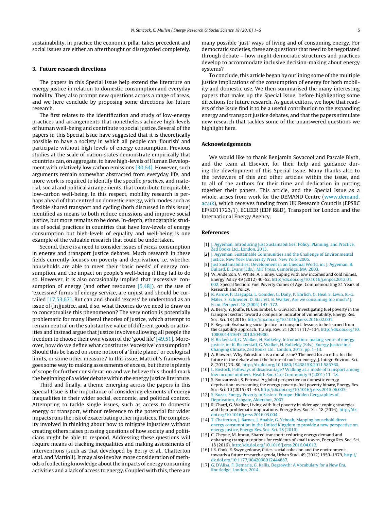<span id="page-5-0"></span>sustainability, in practice the economic pillar takes precedent and social issues are either an afterthought or disregarded completely.

#### **3. Future research directions**

The papers in this Special Issue help extend the literature on energy justice in relation to domestic consumption and everyday mobility. They also prompt new questions across a range of areas, and we here conclude by proposing some directions for future research.

The first relates to the identification and study of low-energy practices and arrangements that nonetheless achieve high-levels of human well-being and contribute to social justice. Several of the papers in this Special Issue have suggested that it is theoretically possible to have a society in which all people can 'flourish' and participate without high levels of energy consumption. Previous studies at the scale of nation-states demonstrate empirically that countries can, on aggregate, to have high-levels of Human Development with relatively low carbon emissions [\[30,64\].](#page-6-0) However, such arguments remain somewhat abstracted from everyday life, and more work is required to identify the specific practices, and material, social and political arrangements, that contribute to equitable, low-carbon well-being. In this respect, mobility research is perhaps ahead of that centred on domestic energy, with modes such as flexible shared transport and cycling (both discussed in this issue) identified as means to both reduce emissions and improve social justice, but more remains to be done. In-depth, ethnographic studies of social practices in countries that have low-levels of energy consumption but high-levels of equality and well-being is one example of the valuable research that could be undertaken.

Second, there is a need to consider issues of excess consumption in energy and transport justice debates. Much research in these fields currently focuses on poverty and deprivation, i.e. whether households are able to meet their 'basic needs' of energy consumption, and the impact on people's well-being if they fail to do so. However, it is also occasionally implied that 'excessive' consumption of energy (and other resources  $[5,48]$ ), or the use of 'excessive' forms of energy service, are unjust and should be curtailed [17,53,67]. But can and should 'excess' be understood as an issue of (in)justice, and, if so, what theories do we need to draw on to conceptualise this phenomenon? The very notion is potentially problematic for many liberal theories of justice, which attempt to remain neutral on the substantive value of different goods or activities and instead argue that justice involves allowing all people the freedom to choose their own vision of the 'good life' [\[49,51\].](#page-6-0) Moreover, how do we define what constitutes 'excessive' consumption? Should this be based on some notion of a 'finite planet' or ecological limits, or some other measure? In this issue, Mattioli's framework goes some way to making assessments of excess, but there is plenty of scope for further consideration and we believe this should mark the beginning of a wider debate within the energy justice literature.

Third and finally, a theme emerging across the papers in this Special Issue is the importance of considering elements of energy inequalities in their wider social, economic, and political context. Attempting to tackle single issues, such as access to domestic energy or transport, without reference to the potential for wider impacts runs the risk of exacerbating other injustices. The complexity involved in thinking about how to mitigate injustices without creating others raises pressing questions of how society and politicians might be able to respond. Addressing these questions will require means of tracking inequalities and making assessments of interventions (such as that developed by Berry et al., Chatterton et al. and Mattioli). It may also involve more consideration of methods of collecting knowledge about the impacts of energy consuming activities and a lack of access to energy. Coupled with this, there are

many possible 'just' ways of living and of consuming energy. For democratic societies,these are questions that need to be negotiated through debate – how might democratic structures and practices develop to accommodate inclusive decision-making about energy systems?

To conclude, this article began by outlining some of the multiple justice implications of the consumption of energy for both mobility and domestic use. We then summarised the many interesting papers that make up the Special Issue, before highlighting some directions for future research. As guest editors, we hope that readers of the Issue find it to be a useful contribution to the expanding energy and transport justice debates, and that the papers stimulate new research that tackles some of the unanswered questions we highlight here.

#### **Acknowledgements**

We would like to thank Benjamin Sovacool and Pascale Blyth, and the team at Elsevier, for their help and guidance during the development of this Special Issue. Many thanks also to the reviewers of this and other articles within the issue, and to all of the authors for their time and dedication in putting together their papers. This article, and the Special Issue as a whole, arises from work for the DEMAND Centre [\(www.demand.](http://www.demand.ac.uk) [ac.uk](http://www.demand.ac.uk)), which receives funding from UK Research Councils (EPSRC EP/K011723/1), ECLEER (EDF R&D), Transport for London and the International Energy Agency.

#### **References**

- [1] [J.](http://refhub.elsevier.com/S2214-6296(16)30126-8/sbref0005) [Agyeman,](http://refhub.elsevier.com/S2214-6296(16)30126-8/sbref0005) [Introducing](http://refhub.elsevier.com/S2214-6296(16)30126-8/sbref0005) [Just](http://refhub.elsevier.com/S2214-6296(16)30126-8/sbref0005) [Sustainabilities:](http://refhub.elsevier.com/S2214-6296(16)30126-8/sbref0005) [Policy,](http://refhub.elsevier.com/S2214-6296(16)30126-8/sbref0005) [Planning,](http://refhub.elsevier.com/S2214-6296(16)30126-8/sbref0005) [and](http://refhub.elsevier.com/S2214-6296(16)30126-8/sbref0005) [Practice,](http://refhub.elsevier.com/S2214-6296(16)30126-8/sbref0005) [Zed](http://refhub.elsevier.com/S2214-6296(16)30126-8/sbref0005) [Books](http://refhub.elsevier.com/S2214-6296(16)30126-8/sbref0005) [Ltd.,](http://refhub.elsevier.com/S2214-6296(16)30126-8/sbref0005) [London,](http://refhub.elsevier.com/S2214-6296(16)30126-8/sbref0005) [2013.](http://refhub.elsevier.com/S2214-6296(16)30126-8/sbref0005)
- [2] [J.](http://refhub.elsevier.com/S2214-6296(16)30126-8/sbref0010) [Agyeman,](http://refhub.elsevier.com/S2214-6296(16)30126-8/sbref0010) [Sustainable](http://refhub.elsevier.com/S2214-6296(16)30126-8/sbref0010) [Communities](http://refhub.elsevier.com/S2214-6296(16)30126-8/sbref0010) [and](http://refhub.elsevier.com/S2214-6296(16)30126-8/sbref0010) [the](http://refhub.elsevier.com/S2214-6296(16)30126-8/sbref0010) [Challenge](http://refhub.elsevier.com/S2214-6296(16)30126-8/sbref0010) [of](http://refhub.elsevier.com/S2214-6296(16)30126-8/sbref0010) [Environmental](http://refhub.elsevier.com/S2214-6296(16)30126-8/sbref0010) [Justice,](http://refhub.elsevier.com/S2214-6296(16)30126-8/sbref0010) [New](http://refhub.elsevier.com/S2214-6296(16)30126-8/sbref0010) [York](http://refhub.elsevier.com/S2214-6296(16)30126-8/sbref0010) [University](http://refhub.elsevier.com/S2214-6296(16)30126-8/sbref0010) [Press,](http://refhub.elsevier.com/S2214-6296(16)30126-8/sbref0010) [New](http://refhub.elsevier.com/S2214-6296(16)30126-8/sbref0010) [York,](http://refhub.elsevier.com/S2214-6296(16)30126-8/sbref0010) [2005.](http://refhub.elsevier.com/S2214-6296(16)30126-8/sbref0010)
- [3] [Just](http://refhub.elsevier.com/S2214-6296(16)30126-8/sbref0015) [Sustainabilities:](http://refhub.elsevier.com/S2214-6296(16)30126-8/sbref0015) [Development](http://refhub.elsevier.com/S2214-6296(16)30126-8/sbref0015) [in](http://refhub.elsevier.com/S2214-6296(16)30126-8/sbref0015) [an](http://refhub.elsevier.com/S2214-6296(16)30126-8/sbref0015) [Unequal](http://refhub.elsevier.com/S2214-6296(16)30126-8/sbref0015) [World,](http://refhub.elsevier.com/S2214-6296(16)30126-8/sbref0015) [in:](http://refhub.elsevier.com/S2214-6296(16)30126-8/sbref0015) [J.](http://refhub.elsevier.com/S2214-6296(16)30126-8/sbref0015) [Agyeman,](http://refhub.elsevier.com/S2214-6296(16)30126-8/sbref0015) [B.](http://refhub.elsevier.com/S2214-6296(16)30126-8/sbref0015) [Bullard,](http://refhub.elsevier.com/S2214-6296(16)30126-8/sbref0015) [B.](http://refhub.elsevier.com/S2214-6296(16)30126-8/sbref0015) [Evans](http://refhub.elsevier.com/S2214-6296(16)30126-8/sbref0015) [\(Eds.\),](http://refhub.elsevier.com/S2214-6296(16)30126-8/sbref0015) [MIT](http://refhub.elsevier.com/S2214-6296(16)30126-8/sbref0015) [Press,](http://refhub.elsevier.com/S2214-6296(16)30126-8/sbref0015) [Cambridge,](http://refhub.elsevier.com/S2214-6296(16)30126-8/sbref0015) [MA,](http://refhub.elsevier.com/S2214-6296(16)30126-8/sbref0015) [2003.](http://refhub.elsevier.com/S2214-6296(16)30126-8/sbref0015)
- [4] W. Anderson, V. White, A. Finney, Coping with low incomes and cold homes, Energy Policy 49 (2012) 40–52, [http://dx.doi.org/10.1016/j.enpol.2012.01.](dx.doi.org/10.1016/j.enpol.2012.01.002) [002,](dx.doi.org/10.1016/j.enpol.2012.01.002) Special Section: Fuel Poverty Comes of Age: Commemorating 21 Years of Research and Policy.
- [5] [K.](http://refhub.elsevier.com/S2214-6296(16)30126-8/sbref0025) [Arrow,](http://refhub.elsevier.com/S2214-6296(16)30126-8/sbref0025) [P.](http://refhub.elsevier.com/S2214-6296(16)30126-8/sbref0025) [Dasgupta,](http://refhub.elsevier.com/S2214-6296(16)30126-8/sbref0025) [L.](http://refhub.elsevier.com/S2214-6296(16)30126-8/sbref0025) [Goulder,](http://refhub.elsevier.com/S2214-6296(16)30126-8/sbref0025) [G.](http://refhub.elsevier.com/S2214-6296(16)30126-8/sbref0025) [Daily,](http://refhub.elsevier.com/S2214-6296(16)30126-8/sbref0025) [P.](http://refhub.elsevier.com/S2214-6296(16)30126-8/sbref0025) [Ehrlich,](http://refhub.elsevier.com/S2214-6296(16)30126-8/sbref0025) [G.](http://refhub.elsevier.com/S2214-6296(16)30126-8/sbref0025) [Heal,](http://refhub.elsevier.com/S2214-6296(16)30126-8/sbref0025) [S.](http://refhub.elsevier.com/S2214-6296(16)30126-8/sbref0025) [Levin,](http://refhub.elsevier.com/S2214-6296(16)30126-8/sbref0025) [K.-G.](http://refhub.elsevier.com/S2214-6296(16)30126-8/sbref0025) [Mäler,](http://refhub.elsevier.com/S2214-6296(16)30126-8/sbref0025) [S.](http://refhub.elsevier.com/S2214-6296(16)30126-8/sbref0025) [Schneider,](http://refhub.elsevier.com/S2214-6296(16)30126-8/sbref0025) [D.](http://refhub.elsevier.com/S2214-6296(16)30126-8/sbref0025) [Starrett,](http://refhub.elsevier.com/S2214-6296(16)30126-8/sbref0025) [B.](http://refhub.elsevier.com/S2214-6296(16)30126-8/sbref0025) [Walker,](http://refhub.elsevier.com/S2214-6296(16)30126-8/sbref0025) [Are](http://refhub.elsevier.com/S2214-6296(16)30126-8/sbref0025) [we](http://refhub.elsevier.com/S2214-6296(16)30126-8/sbref0025) [consuming](http://refhub.elsevier.com/S2214-6296(16)30126-8/sbref0025) [too](http://refhub.elsevier.com/S2214-6296(16)30126-8/sbref0025) [much?](http://refhub.elsevier.com/S2214-6296(16)30126-8/sbref0025) [J.](http://refhub.elsevier.com/S2214-6296(16)30126-8/sbref0025) [Econ.](http://refhub.elsevier.com/S2214-6296(16)30126-8/sbref0025) [Perspect.](http://refhub.elsevier.com/S2214-6296(16)30126-8/sbref0025) [18](http://refhub.elsevier.com/S2214-6296(16)30126-8/sbref0025) [\(2004\)](http://refhub.elsevier.com/S2214-6296(16)30126-8/sbref0025) [147–172.](http://refhub.elsevier.com/S2214-6296(16)30126-8/sbref0025)
- [6] A. Berry, Y. Jouffe, N. Coulombel, C. Guivarch, Investigating fuel poverty in the transport sector: toward a composite indicator of vulnerability, Energy Res. Soc. Sci. 18 (2016), [http://dx.doi.org/10.1016/j.erss.2016.02.001](dx.doi.org/10.1016/j.erss.2016.02.001).
- [7] E. Beyazit, Evaluating social justice in transport: lessons to be learned from the capability approach, Transp. Rev. 31 (2011) 117–134, [http://dx.doi.org/10.](dx.doi.org/10.1080/01441647.2010.504900) [1080/01441647.2010.504900](dx.doi.org/10.1080/01441647.2010.504900).
- [8] [K.](http://refhub.elsevier.com/S2214-6296(16)30126-8/sbref0040) [Bickerstaff,](http://refhub.elsevier.com/S2214-6296(16)30126-8/sbref0040) [G.](http://refhub.elsevier.com/S2214-6296(16)30126-8/sbref0040) [Walker,](http://refhub.elsevier.com/S2214-6296(16)30126-8/sbref0040) [H.](http://refhub.elsevier.com/S2214-6296(16)30126-8/sbref0040) [Bulkeley,](http://refhub.elsevier.com/S2214-6296(16)30126-8/sbref0040) [Introduction:](http://refhub.elsevier.com/S2214-6296(16)30126-8/sbref0040) [making](http://refhub.elsevier.com/S2214-6296(16)30126-8/sbref0040) [sense](http://refhub.elsevier.com/S2214-6296(16)30126-8/sbref0040) [of](http://refhub.elsevier.com/S2214-6296(16)30126-8/sbref0040) [energy](http://refhub.elsevier.com/S2214-6296(16)30126-8/sbref0040) [justice,](http://refhub.elsevier.com/S2214-6296(16)30126-8/sbref0040) [in:](http://refhub.elsevier.com/S2214-6296(16)30126-8/sbref0040) [K.](http://refhub.elsevier.com/S2214-6296(16)30126-8/sbref0040) [Bickerstaff,](http://refhub.elsevier.com/S2214-6296(16)30126-8/sbref0040) [G.](http://refhub.elsevier.com/S2214-6296(16)30126-8/sbref0040) [Walker,](http://refhub.elsevier.com/S2214-6296(16)30126-8/sbref0040) [H.](http://refhub.elsevier.com/S2214-6296(16)30126-8/sbref0040) [Bulkeley](http://refhub.elsevier.com/S2214-6296(16)30126-8/sbref0040) [\(Eds.\),](http://refhub.elsevier.com/S2214-6296(16)30126-8/sbref0040) [Energy](http://refhub.elsevier.com/S2214-6296(16)30126-8/sbref0040) [Justice](http://refhub.elsevier.com/S2214-6296(16)30126-8/sbref0040) [in](http://refhub.elsevier.com/S2214-6296(16)30126-8/sbref0040) [a](http://refhub.elsevier.com/S2214-6296(16)30126-8/sbref0040) [Changing](http://refhub.elsevier.com/S2214-6296(16)30126-8/sbref0040) [Climate,](http://refhub.elsevier.com/S2214-6296(16)30126-8/sbref0040) [Zed](http://refhub.elsevier.com/S2214-6296(16)30126-8/sbref0040) [Books](http://refhub.elsevier.com/S2214-6296(16)30126-8/sbref0040) [Ltd.,](http://refhub.elsevier.com/S2214-6296(16)30126-8/sbref0040) [London,](http://refhub.elsevier.com/S2214-6296(16)30126-8/sbref0040) [2013,](http://refhub.elsevier.com/S2214-6296(16)30126-8/sbref0040) [pp.](http://refhub.elsevier.com/S2214-6296(16)30126-8/sbref0040) [1–13.](http://refhub.elsevier.com/S2214-6296(16)30126-8/sbref0040)
- [9] A. Blowers, Why Fukushima is a moral issue? The need for an ethic for the future in the debate about the future of nuclear energy, J. Integr. Environ. Sci. 8 (2011) 73–80, [http://dx.doi.org/10.1080/1943815X.2011.585760.](dx.doi.org/10.1080/1943815X.2011.585760)
- [10] [L.](http://refhub.elsevier.com/S2214-6296(16)30126-8/sbref0050) [Bostock,](http://refhub.elsevier.com/S2214-6296(16)30126-8/sbref0050) [Pathways](http://refhub.elsevier.com/S2214-6296(16)30126-8/sbref0050) [of](http://refhub.elsevier.com/S2214-6296(16)30126-8/sbref0050) [disadvantage?](http://refhub.elsevier.com/S2214-6296(16)30126-8/sbref0050) [Walking](http://refhub.elsevier.com/S2214-6296(16)30126-8/sbref0050) [as](http://refhub.elsevier.com/S2214-6296(16)30126-8/sbref0050) [a](http://refhub.elsevier.com/S2214-6296(16)30126-8/sbref0050) [mode](http://refhub.elsevier.com/S2214-6296(16)30126-8/sbref0050) of [transport](http://refhub.elsevier.com/S2214-6296(16)30126-8/sbref0050) [among](http://refhub.elsevier.com/S2214-6296(16)30126-8/sbref0050) [low](http://refhub.elsevier.com/S2214-6296(16)30126-8/sbref0050) [income](http://refhub.elsevier.com/S2214-6296(16)30126-8/sbref0050) [mothers,](http://refhub.elsevier.com/S2214-6296(16)30126-8/sbref0050) [Health](http://refhub.elsevier.com/S2214-6296(16)30126-8/sbref0050) [Soc.](http://refhub.elsevier.com/S2214-6296(16)30126-8/sbref0050) [Care](http://refhub.elsevier.com/S2214-6296(16)30126-8/sbref0050) [Community](http://refhub.elsevier.com/S2214-6296(16)30126-8/sbref0050) [9](http://refhub.elsevier.com/S2214-6296(16)30126-8/sbref0050) [\(2001\)](http://refhub.elsevier.com/S2214-6296(16)30126-8/sbref0050) [11](http://refhub.elsevier.com/S2214-6296(16)30126-8/sbref0050)–[18.](http://refhub.elsevier.com/S2214-6296(16)30126-8/sbref0050)
- [11] S. Bouzarovski, S. Petrova, A global perspective on domestic energy deprivation: overcoming the energy poverty–fuel poverty binary, Energy Res. Soc. Sci. 10 (2015) 31–40, [http://dx.doi.org/10.1016/j.erss.2015.06.007.](dx.doi.org/10.1016/j.erss.2015.06.007)
- [12] [S.](http://refhub.elsevier.com/S2214-6296(16)30126-8/sbref0060) [Buzar,](http://refhub.elsevier.com/S2214-6296(16)30126-8/sbref0060) [Energy](http://refhub.elsevier.com/S2214-6296(16)30126-8/sbref0060) [Poverty](http://refhub.elsevier.com/S2214-6296(16)30126-8/sbref0060) [in](http://refhub.elsevier.com/S2214-6296(16)30126-8/sbref0060) [Eastern](http://refhub.elsevier.com/S2214-6296(16)30126-8/sbref0060) [Europe:](http://refhub.elsevier.com/S2214-6296(16)30126-8/sbref0060) [Hidden](http://refhub.elsevier.com/S2214-6296(16)30126-8/sbref0060) [Geographies](http://refhub.elsevier.com/S2214-6296(16)30126-8/sbref0060) [of](http://refhub.elsevier.com/S2214-6296(16)30126-8/sbref0060) [Deprivation,](http://refhub.elsevier.com/S2214-6296(16)30126-8/sbref0060) [Ashgate,](http://refhub.elsevier.com/S2214-6296(16)30126-8/sbref0060) [Aldershot,](http://refhub.elsevier.com/S2214-6296(16)30126-8/sbref0060) [2007.](http://refhub.elsevier.com/S2214-6296(16)30126-8/sbref0060)
- [13] R. Chard, G. Walker, Living with fuel poverty in older age: coping strategies and their problematic implications, Energy Res. Soc. Sci. 18 (2016), [http://dx.](dx.doi.org/10.1016/j.erss.2016.03.004) [doi.org/10.1016/j.erss.2016.03.004.](dx.doi.org/10.1016/j.erss.2016.03.004)
- [14] [T.](http://refhub.elsevier.com/S2214-6296(16)30126-8/sbref0070) [Chatterton,](http://refhub.elsevier.com/S2214-6296(16)30126-8/sbref0070) [J.](http://refhub.elsevier.com/S2214-6296(16)30126-8/sbref0070) [Barnes,](http://refhub.elsevier.com/S2214-6296(16)30126-8/sbref0070) [J.](http://refhub.elsevier.com/S2214-6296(16)30126-8/sbref0070) [Anable,](http://refhub.elsevier.com/S2214-6296(16)30126-8/sbref0070) [G.](http://refhub.elsevier.com/S2214-6296(16)30126-8/sbref0070) [Yeboah,](http://refhub.elsevier.com/S2214-6296(16)30126-8/sbref0070) [Mapping](http://refhub.elsevier.com/S2214-6296(16)30126-8/sbref0070) [household](http://refhub.elsevier.com/S2214-6296(16)30126-8/sbref0070) [direct](http://refhub.elsevier.com/S2214-6296(16)30126-8/sbref0070) [energy](http://refhub.elsevier.com/S2214-6296(16)30126-8/sbref0070) [consumption](http://refhub.elsevier.com/S2214-6296(16)30126-8/sbref0070) [in](http://refhub.elsevier.com/S2214-6296(16)30126-8/sbref0070) [the](http://refhub.elsevier.com/S2214-6296(16)30126-8/sbref0070) [United](http://refhub.elsevier.com/S2214-6296(16)30126-8/sbref0070) [Kingdom](http://refhub.elsevier.com/S2214-6296(16)30126-8/sbref0070) [to](http://refhub.elsevier.com/S2214-6296(16)30126-8/sbref0070) [provide](http://refhub.elsevier.com/S2214-6296(16)30126-8/sbref0070) [a](http://refhub.elsevier.com/S2214-6296(16)30126-8/sbref0070) [new](http://refhub.elsevier.com/S2214-6296(16)30126-8/sbref0070) [perspective](http://refhub.elsevier.com/S2214-6296(16)30126-8/sbref0070) [on](http://refhub.elsevier.com/S2214-6296(16)30126-8/sbref0070) [energy](http://refhub.elsevier.com/S2214-6296(16)30126-8/sbref0070) [justice,](http://refhub.elsevier.com/S2214-6296(16)30126-8/sbref0070) [Energy](http://refhub.elsevier.com/S2214-6296(16)30126-8/sbref0070) [Res.](http://refhub.elsevier.com/S2214-6296(16)30126-8/sbref0070) [Soc.](http://refhub.elsevier.com/S2214-6296(16)30126-8/sbref0070) [Sci.](http://refhub.elsevier.com/S2214-6296(16)30126-8/sbref0070) [18](http://refhub.elsevier.com/S2214-6296(16)30126-8/sbref0070) [\(2016\).](http://refhub.elsevier.com/S2214-6296(16)30126-8/sbref0070)
- [15] C. Cheyne, M. Imran, Shared transport: reducing energy demand and enhancing transport options for residents of small towns, Energy Res. Soc. Sci. 18 (2016), [http://dx.doi.org/10.1016/j.erss.2016.04.012.](dx.doi.org/10.1016/j.erss.2016.04.012)
- [16] I.R. Cook, E. Swyngedouw, Cities, social cohesion and the environment: towards a future research agenda, Urban Stud. 49 (2012) 1959–1979, [http://](dx.doi.org/10.1177/0042098012444887) <dx.doi.org/10.1177/0042098012444887>.
- [17] [G.](http://refhub.elsevier.com/S2214-6296(16)30126-8/sbref0085) [D'Alisa,](http://refhub.elsevier.com/S2214-6296(16)30126-8/sbref0085) [F.](http://refhub.elsevier.com/S2214-6296(16)30126-8/sbref0085) [Demaria,](http://refhub.elsevier.com/S2214-6296(16)30126-8/sbref0085) G. [Kallis,](http://refhub.elsevier.com/S2214-6296(16)30126-8/sbref0085) [Degrowth:](http://refhub.elsevier.com/S2214-6296(16)30126-8/sbref0085) [A](http://refhub.elsevier.com/S2214-6296(16)30126-8/sbref0085) [Vocabulary](http://refhub.elsevier.com/S2214-6296(16)30126-8/sbref0085) [for](http://refhub.elsevier.com/S2214-6296(16)30126-8/sbref0085) [a](http://refhub.elsevier.com/S2214-6296(16)30126-8/sbref0085) [New](http://refhub.elsevier.com/S2214-6296(16)30126-8/sbref0085) [Era,](http://refhub.elsevier.com/S2214-6296(16)30126-8/sbref0085) [Routledge,](http://refhub.elsevier.com/S2214-6296(16)30126-8/sbref0085) [London,](http://refhub.elsevier.com/S2214-6296(16)30126-8/sbref0085) [2014.](http://refhub.elsevier.com/S2214-6296(16)30126-8/sbref0085)